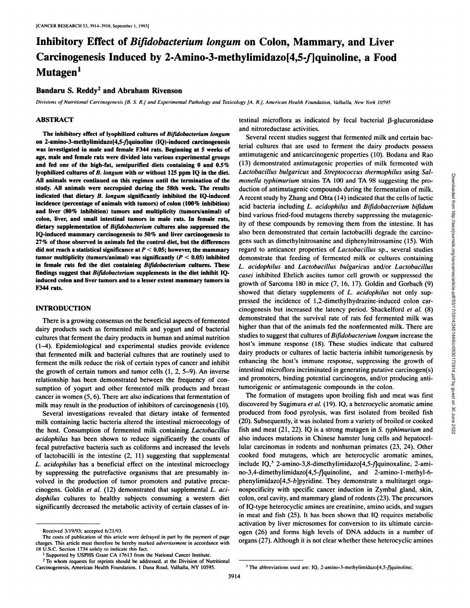# Inhibitory Effect of *Bifidobacterium longum* on Colon, Mammary, and Liver Carcinogenesis Induced by 2-Amino-3-methylimidazo[4,5-f]quinoline, a Food Mutagen<sup>1</sup>

# Bandaru S. Reddy<sup>2</sup> and Abraham Rivenson

Divisions of Nutritional Carcinogenesis [B. S. R.] and Experimental Pathology and Toxicology [A. R.], American Health Foundation, Valhalla, New York 10595

# **ABSTRACT**

The inhibitory effect of lyophilized cultures of Bifidobacterium longum on 2-amino-3-methylimidazo[4,5-f]quinoline (IQ)-induced carcinogenesis was investigated in male and female F344 rats. Beginning at 5 weeks of age, male and female rats were divided into various experimental groups and fed one of the high-fat, semipurified diets containing 0 and 0.5% lyophilized cultures of B. longum with or without 125 ppm IQ in the diet. All animals were continued on this regimen until the termination of the study. All animals were necropsied during the 58th week. The results indicated that dietary B. longum significantly inhibited the IQ-induced incidence (percentage of animals with tumors) of colon (100% inhibition) and liver (80% inhibition) tumors and multiplicity (tumors/animal) of colon, liver, and small intestinal tumors in male rats. In female rats, dietary supplementation of Bifidobacterium cultures also suppressed the IQ-induced mammary carcinogenesis to 50% and liver carcinogenesis to 27% of those observed in animals fed the control diet, but the differences did not reach a statistical significance at  $P < 0.05$ ; however, the mammary tumor multiplicity (tumors/animal) was significantly ( $P < 0.05$ ) inhibited in female rats fed the diet containing Bifidobacterium cultures. These findings suggest that Bifidobacterium supplements in the diet inhibit IQinduced colon and liver tumors and to a lesser extent mammary tumors in F344 rats.

# **INTRODUCTION**

There is a growing consensus on the beneficial aspects of fermented dairy products such as fermented milk and yogurt and of bacterial cultures that ferment the dairy products in human and animal nutrition (1-4). Epidemiological and experimental studies provide evidence that fermented milk and bacterial cultures that are routinely used to ferment the milk reduce the risk of certain types of cancer and inhibit the growth of certain tumors and tumor cells  $(1, 2, 5-9)$ . An inverse relationship has been demonstrated between the frequency of consumption of yogurt and other fermented milk products and breast cancer in women  $(5, 6)$ . There are also indications that fermentation of milk may result in the production of inhibitors of carcinogenesis (10).

Several investigations revealed that dietary intake of fermented milk containing lactic bacteria altered the intestinal microecology of the host. Consumption of fermented milk containing Lactobacillus acidophilus has been shown to reduce significantly the counts of fecal putrefactive bacteria such as coliforms and increased the levels of lactobacilli in the intestine  $(2, 11)$  suggesting that supplemental L. acidophilus has a beneficial effect on the intestinal microeclogy by suppressing the putrefactive organisms that are presumably involved in the production of tumor promoters and putative precarcinogens. Goldin et al. (12) demonstrated that supplemental L. acidophilus cultures to healthy subjects consuming a western diet significantly decreased the metabolic activity of certain classes of intestinal microflora as indicated by fecal bacterial B-glucuronidase and nitroreductase activities.

Several recent studies suggest that fermented milk and certain bacterial cultures that are used to ferment the dairy products possess antimutagenic and anticarcinogenic properties (10). Bodana and Rao (13) demonstrated antimutagenic properties of milk fermented with Lactobacillus bulgaricus and Streptococcus thermophilus using Salmonella typhimurium strains TA 100 and TA 98 suggesting the production of antimutagenic compounds during the fermentation of milk. A recent study by Zhang and Ohta (14) indicated that the cells of lactic acid bacteria including L. acidophilus and Bifidobacterium bifidum bind various fried-food mutagens thereby suppressing the mutagenicity of these compounds by removing them from the intestine. It has also been demonstrated that certain lactobacilli degrade the carcinogens such as dimethylnitrosanine and diphenylnitrosamine (15). With regard to anticancer properties of *Lactobacillus* sp., several studies demonstrate that feeding of fermented milk or cultures containing L. acidophilus and Lactobacillus bulgaricus and/or Lactobacillus casei inhibited Ehrlich ascites tumor cell growth or suppressed the growth of Sarcoma 180 in mice (7, 16, 17). Goldin and Gorbach (9) showed that dietary supplements of L. acidophilus not only suppressed the incidence of 1,2-dimethylhydrazine-induced colon carcinogenesis but increased the latency period. Shackelford et al. (8) demonstrated that the survival rate of rats fed fermented milk was higher than that of the animals fed the nonfermented milk. There are studies to suggest that cultures of Bifidobacterium longum increase the host's immune response (18). These studies indicate that cultured dairy products or cultures of lactic bacteria inhibit tumorigenesis by enhancing the host's immune response, suppressing the growth of intestinal microflora incriminated in generating putative carcinogen(s) and promoters, binding potential carcinogens, and/or producing antitumorigenic or antimutagenic compounds in the colon.

The formation of mutagens upon broiling fish and meat was first discovered by Sugimura et al. (19). IQ, a heterocyclic aromatic amine produced from food pyrolysis, was first isolated from broiled fish (20). Subsequently, it was isolated from a variety of broiled or cooked fish and meat  $(21, 22)$ . IQ is a strong mutagen in S. typhimurium and also induces mutations in Chinese hamster lung cells and hepatocellular carcinomas in rodents and nonhuman primates (23, 24). Other cooked food mutagens, which are heterocyclic aromatic amines, include IQ,<sup>3</sup> 2-amino-3,8-dimethylimidazo[4,5-f]quinoxaline, 2-amino-3,4-dimethylimidazo[4,5-f]quinoline, and 2-amino-1-methyl-6phenylimidazo[4,5-b]pyridine. They demonstrate a multitarget organospecificity with specific cancer induction in Zymbal gland, skin, colon, oral cavity, and mammary gland of rodents (23). The precursors of IQ-type heterocyclic amines are creatinine, amino acids, and sugars in meat and fish (25). It has been shown that IQ requires metabolic activation by liver microsomes for conversion to its ultimate carcinogen (26) and forms high levels of DNA adducts in a number of organs (27). Although it is not clear whether these heterocyclic amines

Received 3/19/93; accepted 6/21/93.

The costs of publication of this article were defrayed in part by the payment of page charges. This article must therefore be hereby marked advertisement in accordance with 18 U.S.C. Section 1734 solely to indicate this fact.

Supported by USPHS Grant CA 17613 from the National Cancer Institute.

<sup>&</sup>lt;sup>2</sup> To whom requests for reprints should be addressed, at the Division of Nutritional Carcinogenesis, American Health Foundation, 1 Dana Road, Valhalla, NY 10595.

<sup>&</sup>lt;sup>3</sup> The abbreviations used are: IQ, 2-amino-3-methylimidazo[4,5-f]quinoline;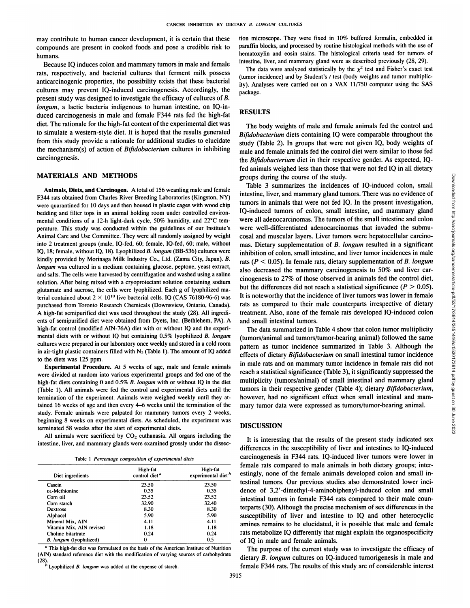may contribute to human cancer development, it is certain that these compounds are present in cooked foods and pose a credible risk to humans.

Because IQ induces colon and mammary tumors in male and female rats, respectively, and bacterial cultures that ferment milk possess anticarcinogenic properties, the possibility exists that these bacterial cultures may prevent IQ-induced carcinogenesis. Accordingly, the present study was designed to investigate the efficacy of cultures of B. *longum*, a lactic bacteria indigenous to human intestine, on IQ-induced carcinogenesis in male and female F344 rats fed the high-fat diet. The rationale for the high-fat content of the experimental diet was to simulate a western-style diet. It is hoped that the results generated from this study provide a rationale for additional studies to elucidate the mechanism(s) of action of Bifidobacterium cultures in inhibiting carcinogenesis.

# **MATERIALS AND METHODS**

**Animals, Diets, and Carcinogen. A total of 156 weanling male and female** F344 rats obtained from Charles River Breeding Laboratories (Kingston, NY) were quarantined for 10 days and then housed in plastic cages with wood chip bedding and filter tops in an animal holding room under controlled environ mental conditions of a 12-h light-dark cycle, 50% humidity, and 22°C temperature. This study was conducted within the guidelines of our Institute's Animal Care and Use Committee. They were all randomly assigned by weight into 2 treatment groups (male. IQ-fed, 60; female, IQ-fed. 60; male, without IQ, 18; female, without IQ, 18). Lyophilized B. longum (BB-536) cultures were kindly provided by Morinaga Milk Industry Co., Ltd. (Zama City, Japan). B. *longum was cultured in a medium containing glucose, peptone, yeast extract,* and salts. The cells were harvested by centrifugation and washed using a saline solution. After being mixed with a cryoprotectant solution containing sodium glutamate and sucrose, the cells were lyophilized. Each g of lyophilized material contained about  $2 \times 10^{10}$  live bacterial cells. IQ (CAS 76180-96-6) was purchased from Toronto Research Chemicals (Downsview, Ontario, Canada). A high-fat semipurified diet was used throughout the study (28). All ingredi ents of semipurified diet were obtained from Dyets, Inc. (Bethlehem, PA). A high-fat control (modified AIN-76A) diet with or without IQ and the experi mental diets with or without IQ but containing 0.5% lyophilized B. longum cultures were prepared in our laboratory once weekly and stored in a cold room in air-tight plastic containers filled with  $N_2$  (Table 1). The amount of IQ added to the diets was 125 ppm.

**Experimental Procedure. At 5 weeks of age, male and female animals** were divided at random into various experimental groups and fed one of the high-fat diets containing 0 and 0.5% B. longum with or without IQ in the diet (Table 1). All animals were fed the control and experimental diets until the termination of the experiment. Animals were weighed weekly until they at tained 16 weeks of age and then every 4-6 weeks until the termination of the study. Female animals were palpated for mammary tumors every 2 weeks, beginning 8 weeks on experimental diets. As scheduled, the experiment was terminated 58 weeks after the start of experimental diets.

All animals were sacrificed by  $CO<sub>2</sub>$  euthanasia. All organs including the intestine, liver, and mammary glands were examined grossly under the dissec-

|  |  | Table 1 Percentage composition of experimental diets |  |
|--|--|------------------------------------------------------|--|
|  |  |                                                      |  |

| Diet ingredients         | High-fat<br>control diet <sup>a</sup> | High-fat<br>experimental diet <sup>b</sup> |
|--------------------------|---------------------------------------|--------------------------------------------|
| Casein                   | 23.50                                 | 23.50                                      |
| Dt-Methionine            | 0.35                                  | 0.35                                       |
| Corn oil                 | 23.52                                 | 23.52                                      |
| Corn starch              | 32.90                                 | 32.40                                      |
| Dextrose                 | 8.30                                  | 8.30                                       |
| Alphacel                 | 5.90                                  | 5.90                                       |
| Mineral Mix, AIN         | 4.11                                  | 4.11                                       |
| Vitamin Mix, AIN revised | 1.18                                  | 1.18                                       |
| Choline bitartrate       | 0.24                                  | 0.24                                       |
| B. longum (lyophilized)  | 0                                     | 0.5                                        |

" This high-fat diet was formulated on the basis of the American Institute of Nutrition (AIN) standard reference diet with the modification of varying sources of carbohydrate

(28).<br><sup>1</sup> Dyophilized *B. longum* was added at the expense of starch.

tion microscope. They were fixed in 10% buffered formalin, embedded in paraffin blocks, and processed by routine histological methods with the use of hematoxylin and eosin stains. The histological criteria used for tumors of intestine, liver, and mammary gland were as described previously (28, 29).

The data were analyzed statistically by the  $\chi^2$  test and Fisher's exact test (tumor incidence) and by Student's  $t$  test (body weights and tumor multiplicity). Analyses were carried out on a VAX 11/750 computer using the SAS package.

### **RESULTS**

The body weights of male and female animals fed the control and *Bifidobacterium diets containing IQ were comparable throughout the* study (Table 2). In groups that were not given IQ, body weights of male and female animals fed the control diet were similar to those fed the Bifidobacterium diet in their respective gender. As expected, IQfed animals weighed less than those that were not fed IQ in all dietary groups during the course of the study.

Table 3 summarizes the incidences of IQ-induced colon, small intestine, liver, and mammary gland tumors. There was no evidence of tumors in animals that were not fed IQ. In the present investigation, The and interest of the study.<br>
The summarizes the incidences of IQ-induced colon, small<br>
intestine, liver, and mammary gland tumors. There was no evidence of<br>
tumors in animals that were not fed IQ. In the present invest were all adenocarcinomas. The tumors of the small intestine and colon were well-differentiated adenocarcinomas that invaded the submucosal and muscular layers. Liver tumors were hepatocellular carcino mas. Dietary supplementation of B. longum resulted in a significant inhibition of colon, small intestine, and liver tumor incidences in male rats ( $P < 0.05$ ). In female rats, dietary supplementation of B. longum also decreased the mammary carcinogenesis to 50% and liver car cinogenesis to 27% of those observed in animals fed the control diet, but the differences did not reach a statistical significance ( $P > 0.05$ ). It is noteworthy that the incidence of liver tumors was lower in female rats as compared to their male counterparts irrespective of dietary treatment. Also, none of the female rats developed IQ-induced colon and small intestinal tumors.

The data summarized in Table 4 show that colon tumor multiplicity (tumors/animal and tumors/tumor-bearing animal) followed the same pattern as tumor incidence summarized in Table 3. Although the effects of dietary Bifidobacterium on small intestinal tumor incidence in male rats and on mammary tumor incidence in female rats did not reach a statistical significance (Table 3), it significantly suppressed the multiplicity (tumors/animal) of small intestinal and mammary gland tumors in their respective gender (Table 4); dietary Bifidobacterium, however, had no significant effect when small intestinal and mam mary tumor data were expressed as tumors/tumor-bearing animal.

#### **DISCUSSION**

 $\frac{1}{2}$   $\frac{1}{2}$   $\frac{1}{2}$   $\frac{1}{2}$   $\frac{1}{2}$   $\frac{1}{2}$   $\frac{1}{2}$   $\frac{1}{2}$  experimental diet<sup>b</sup> estingly, none of the female animals developed colon and small in-It is interesting that the results of the present study indicated sex differences in the susceptibility of liver and intestines to IQ-induced carcinogenesis in F344 rats. IQ-induced liver tumors were lower in female rats compared to male animals in both dietary groups; inter testinal tumors. Our previous studies also demonstrated lower inci dence of 3,2'-dimethyl-4-aminobiphenyl-induced colon and small intestinal tumors in female F344 rats compared to their male coun terparts (30). Although the precise mechanism of sex differences in the susceptibility of liver and intestine to IQ and other heterocyclic amines remains to be elucidated, it is possible that male and female rats metabolize IQ differently that might explain the organospecificity of IQ in male and female animals.

> The purpose of the current study was to investigate the efficacy of dietary B. longum cultures on IQ-induced tumorigenesis in male and female F344 rats. The results of this study are of considerable interest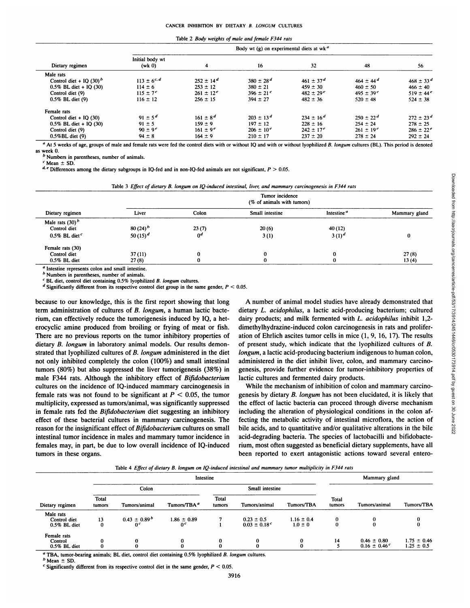|  |  | Table 2 <i>Body weights of male and female F344 rats</i> |  |
|--|--|----------------------------------------------------------|--|
|--|--|----------------------------------------------------------|--|

|                            |                         |                  | Body wt $(g)$ on experimental diets at wk <sup>a</sup> |                           |                      |                           |  |  |  |  |
|----------------------------|-------------------------|------------------|--------------------------------------------------------|---------------------------|----------------------|---------------------------|--|--|--|--|
| Dietary regimen            | Initial body wt<br>(wk) | 4                | 16                                                     | 32                        | 48                   | 56                        |  |  |  |  |
| Male rats                  |                         |                  |                                                        |                           |                      |                           |  |  |  |  |
| Control diet + IQ $(30)^b$ | $113 \pm 6^{c,d}$       | $252 \pm 14^d$   | $380 \pm 28^d$                                         | $461 \pm 37^d$            | $464 \pm 44^d$       | $468 \pm 33^{\circ}$      |  |  |  |  |
| $0.5\%$ BL diet + IQ (30)  | $114 \pm 6$             | $253 \pm 12$     | $380 \pm 21$                                           | $459 \pm 30$              | $460 \pm 50$         | $466 \pm 40$              |  |  |  |  |
| Control diet (9)           | $115 \pm 7^e$           | $261 \pm 12^{e}$ | $396 \pm 21^e$                                         | $482 \pm 29$ <sup>e</sup> | $495 \pm 39^{\circ}$ | $519 \pm 44$ <sup>e</sup> |  |  |  |  |
| $0.5\%$ BL diet $(9)$      | $116 \pm 12$            | $256 \pm 15$     | $394 \pm 27$                                           | $482 \pm 36$              | $520 \pm 48$         | $524 \pm 38$              |  |  |  |  |
| Female rats                |                         |                  |                                                        |                           |                      |                           |  |  |  |  |
| Control diet $+$ IQ (30)   | $91 \pm 5^d$            | $161 \pm 8^d$    | $203 \pm 13^d$                                         | $234 \pm 16^{d}$          | $250 \pm 22^d$       | $272 \pm 23^d$            |  |  |  |  |
| $0.5\%$ BL diet + IQ (30)  | $91 \pm 5$              | $159 \pm 9$      | $197 \pm 12$                                           | $228 \pm 16$              | $254 \pm 24$         | $278 \pm 25$              |  |  |  |  |
| Control diet (9)           | $90 \pm 9$ <sup>c</sup> | $161 \pm 9^e$    | $206 \pm 10^{e}$                                       | $242 \pm 17^{e}$          | $261 \pm 19^e$       | $286 \pm 22^{\circ}$      |  |  |  |  |
| $0.5\%$ BL diet $(9)$      | $94 \pm 8$              | $164 \pm 9$      | $210 \pm 17$                                           | $237 \pm 20$              | $278 \pm 24$         | $292 \pm 24$              |  |  |  |  |

a At 5 weeks of age, groups of male and female rats were fed the control diets with or without IQ and with or without lyophilized B. longum cultures (BL). This period is denoted as week 0.

*h Numbers in parentheses, number of animals.*

 $c$  Mean  $\pm$  SD.

 $d$ ,  $e$  Differences among the dietary subgroups in IQ-fed and in non-IQ-fed animals are not significant,  $P > 0.05$ .

|                              | Tumor incidence<br>(% of animals with tumors) |                |                 |                        |               |  |  |  |
|------------------------------|-----------------------------------------------|----------------|-----------------|------------------------|---------------|--|--|--|
| Dietary regimen              | Liver                                         | Colon          | Small intestine | Intestine <sup>a</sup> | Mammary gland |  |  |  |
| Male rats $(30)^b$           |                                               |                |                 |                        |               |  |  |  |
| Control diet                 | $80(24)^{b}$                                  | 23(7)          | 20(6)           | 40(12)                 |               |  |  |  |
| $0.5\%$ BL diet <sup>c</sup> | $50(15)^d$                                    | 0 <sup>d</sup> | 3(1)            | $3(1)^d$               |               |  |  |  |
| Female rats (30)             |                                               |                |                 |                        |               |  |  |  |
| Control diet                 | 37(11)                                        | 0              |                 |                        | 27(8)         |  |  |  |
| $0.5\%$ BL diet              | 27(8)                                         | 0              | 0               | 0                      | 13(4)         |  |  |  |

<sup>b</sup> Numbers in parentheses, number of animals.

 $c$  BL diet, control diet containing 0.5% lyophilized B. longum cultures.

<sup>d</sup> Significantly different from its respective control diet group in the same gender,  $P < 0.05$ .

because to our knowledge, this is the first report showing that long term administration of cultures of B. longum, a human lactic bacte rium, can effectively reduce the tumorigenesis induced by IQ, a heterocyclic amine produced from broiling or frying of meat or fish. There are no previous reports on the tumor inhibitory properties of dietary B. longum in laboratory animal models. Our results demonstrated that lyophilized cultures of B. longum administered in the diet not only inhibited completely the colon (100%) and small intestinal tumors (80%) but also suppressed the liver tumorigenesis (38%) in male F344 rats. Although the inhibitory effect of Bifidobacterium cultures on the incidence of IQ-induced mammary carcinogenesis in female rats was not found to be significant at  $P < 0.05$ , the tumor multiplicity, expressed as tumors/animal, was significantly suppressed in female rats fed the *Bifidobacterium* diet suggesting an inhibitory effect of these bacterial cultures in mammary carcinogenesis. The reason for the insignificant effect of Bifidobacterium cultures on small intestinal tumor incidence in males and mammary tumor incidence in females may, in part, be due to low overall incidence of IQ-induced tumors in these organs.

A number of animal model studies have already demonstrated that inal, liver, and mammary carcinogenesis in F344 rats<br>
Tumor incidence<br>
(% of animals with tumors)<br>
Small intestine<br>
20(6)<br>
3(1)<br>
20(6)<br>
3(1)<br>
20(6)<br>
3(1)<br>
20(6)<br>
20(6)<br>
20(6)<br>
20(6)<br>
20(6)<br>
20(6)<br>
20(6)<br>
20(6)<br>
20(6)<br>
20( dairy products; and milk fermented with  $L$ . acidophilus inhibit 1,2dimethylhydrazine-induced colon carcinogenesis in rats and prolifer ation of Ehrlich ascites tumor cells in mice  $(1, 9, 16, 17)$ . The results of present study, which indicate that the lyophilized cultures of B. *longum, a lactic acid-producing bacterium indigenous to human colon,* administered in the diet inhibit liver, colon, and mammary carcino genesis, provide further evidence for tumor-inhibitory properties of lactic cultures and fermented dairy products.

While the mechanism of inhibition of colon and mammary carcino genesis by dietary B. longum has not been elucidated, it is likely that the effect of lactic bacteria can proceed through diverse mechanism including the alteration of physiological conditions in the colon af fecting the metabolic activity of intestinal microflora, the action of bile acids, and to quantitative and/or qualitative alterations in the bile acid-degrading bacteria. The species of lactobacilli and bifidobacterium, most often suggested as beneficial dietary supplements, have all been reported to exert antagonistic actions toward several entero-

Table 4 Effect of dietary B. longum on IO-induced intestinal and mammary tumor multiplicity in F344 rats

| $\frac{1}{2}$ and $\frac{1}{2}$ and $\frac{1}{2}$ are the compact on $\frac{1}{2}$ manded subdivision and infinition $\frac{1}{2}$ and $\frac{1}{2}$ are $\frac{1}{2}$ and $\frac{1}{2}$ and $\frac{1}{2}$ and $\frac{1}{2}$ and $\frac{1}{2}$ and $\frac{1}{2}$ and $\frac{1}{2}$ |                 |                   |                         |                        |                              |                |                 |                              |                 |  |
|------------------------------------------------------------------------------------------------------------------------------------------------------------------------------------------------------------------------------------------------------------------------------------|-----------------|-------------------|-------------------------|------------------------|------------------------------|----------------|-----------------|------------------------------|-----------------|--|
| Dietary regimen                                                                                                                                                                                                                                                                    |                 |                   | Intestine               |                        |                              |                | Mammary gland   |                              |                 |  |
|                                                                                                                                                                                                                                                                                    | Colon           |                   |                         | Small intestine        |                              |                |                 |                              |                 |  |
|                                                                                                                                                                                                                                                                                    | Total<br>tumors | Tumors/animal     | Tumors/TBA <sup>a</sup> | <b>Total</b><br>tumors | Tumors/animal                | Tumors/TBA     | Total<br>tumors | Tumors/animal                | Tumors/TBA      |  |
| Male rats                                                                                                                                                                                                                                                                          |                 |                   |                         |                        |                              |                |                 |                              |                 |  |
| Control diet                                                                                                                                                                                                                                                                       | 13              | $0.43 \pm 0.89^b$ | $1.86 \pm 0.89$         |                        | $0.23 \pm 0.5$               | $1.16 \pm 0.4$ | 0               |                              | 0               |  |
| 0.5% BL diet                                                                                                                                                                                                                                                                       | 0               | 0 <sup>c</sup>    | 0 <sup>c</sup>          |                        | $0.03 \pm 0.18$ <sup>c</sup> | $1.0 \pm 0$    |                 |                              | 0               |  |
| Female rats                                                                                                                                                                                                                                                                        |                 |                   |                         |                        |                              |                |                 |                              |                 |  |
| Control                                                                                                                                                                                                                                                                            | 0               |                   | 0                       |                        | 0                            | 0              | 14              | $0.46 \pm 0.80$              | $1.75 \pm 0.46$ |  |
| 0.5% BL diet                                                                                                                                                                                                                                                                       | 0               | 0                 | 0                       |                        | 0                            | 0              |                 | $0.16 \pm 0.46$ <sup>c</sup> | $1.25 \pm 0.5$  |  |

<sup>a</sup> TBA, tumor-bearing animals; BL diet, control diet containing 0.5% lyophilized B. longum cultures.

 $<sup>b</sup>$  Mean  $\pm$  SD</sup>

 $\degree$  Significantly different from its respective control diet in the same gender,  $P < 0.05$ .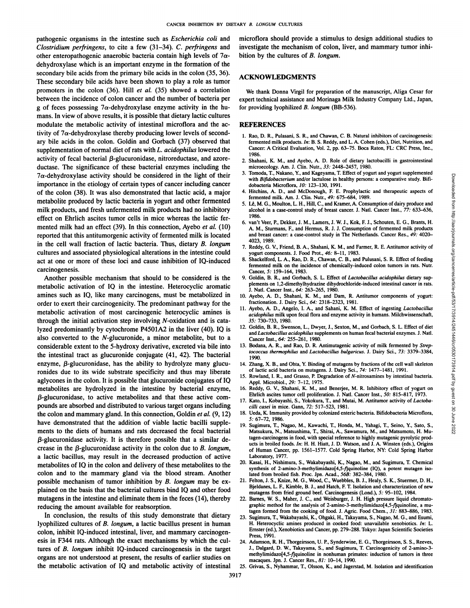pathogenic organisms in the intestine such as Escherichia coli and *Clostridium perfringens, to cite a few (31-34). C. perfringens and* other enteropathogenic anaerobic bacteria contain high levels of  $7\alpha$ dehydroxylase which is an important enzyme in the formation of the secondary bile acids from the primary bile acids in the colon (35, 36). These secondary bile acids have been shown to play a role as tumor promoters in the colon (36). Hill et al. (35) showed a correlation between the incidence of colon cancer and the number of bacteria per g of feces possessing  $7\alpha$ -dehydroxylase enzyme activity in the humans. In view of above results, it is possible that dietary lactic cultures modulate the metabolic activity of intestinal microflora and the ac tivity of  $7\alpha$ -dehydroxylase thereby producing lower levels of secondary bile acids in the colon. Goldin and Gorbach (37) observed that supplementation of normal diet of rats with L. acidophilus lowered the activity of fecal bacterial ß-glucuronidase, nitroreductase, and azore ductase. The significance of these bacterial enzymes including the  $7\alpha$ -dehydroxylase activity should be considered in the light of their importance in the etiology of certain types of cancer including cancer of the colon (38). It was also demonstrated that lactic acid, a major metabolite produced by lactic bacteria in yogurt and other fermented milk products, and fresh unfermented milk products had no inhibitory effect on Ehrlich ascites tumor cells in mice whereas the lactic fer mented milk had an effect (39). In this connection, Ayebo et al. (IO) reported that this antitumorgenic activity of fermented milk is located in the cell wall fraction of lactic bacteria. Thus, dietary B. longum cultures and associated physiological alterations in the intestine could act at one or more of these loci and cause inhibition of IQ-induced carcinogenesis.

Another possible mechanism that should to be considered is the metabolic activation of IQ in the intestine. Heterocyclic aromatic amines such as IQ, like many carcinogens, must be metabolized in order to exert their carcinogenicity. The predominant pathway for the metabolic activation of most carcinogenic heterocyclic amines is through the initial activation step involving  $N$ -oxidation and is catalyzed predominantly by cytochrome P4501A2 in the liver (40). IQ is also converted to the N-glucuronide, a minor metabolite, but to a considerable extent to the 5-hydroxy derivative, excreted via bile into the intestinal tract as glucuronide conjugate (41, 42). The bacterial enzyme, ß-glucuronidase, has the ability to hydrolyze many glucuronides due to its wide substrate specificity and thus may liberate aglycones in the colon. It is possible that glucuronide conjugates of IQ metabolites are hydrolyzed in the intestine by bacterial enzyme,  $\beta$ -glucuronidase, to active metabolites and that these active com-<br> $\frac{E}{17}$  Keta L Kebuseti S Valeduse T and Mutai M Antiumo activity of Latelly pounds are absorbed and distributed to various target organs including the colon and mammary gland. In this connection, Goldin et al.  $(9, 12)$ have demonstrated that the addition of viable lactic bacilli supple ments to the diets of humans and rats decreased the fecal bacterial ß-glucuronidase activity. It is therefore possible that a similar de crease in the  $\beta$ -glucuronidase activity in the colon due to  $B$ . longum, a lactic bacillus, may result in the decreased production of active metabolites of IQ in the colon and delivery of these metabolites to the colon and to the mammary gland via the blood stream. Another possible mechanism of tumor inhibition by B. longum may be explained on the basis that the bacterial cultures bind IQ and other food mutagens in the intestine and eliminate them in the feces (14), thereby reducing the amount available for reabsorption.

In conclusion, the results of this study demonstrate that dietary lyophilized cultures of B. longum, a lactic bacillus present in human colon, inhibit IQ-induced intestinal, liver, and mammary carcinogen esis in F344 rats. Although the exact mechanisms by which the cul tures of B. longum inhibit IQ-induced carcinogenesis in the target organs are not understood at present, the results of earlier studies on the metabolic activation of IQ and metabolic activity of intestinal

microflora should provide a stimulus to design additional studies to investigate the mechanism of colon, liver, and mammary tumor inhi bition by the cultures of B. longum.

#### **ACKNOWLEDGMENTS**

We thank Donna Virgil for preparation of the manuscript, Aliga Cesar for expert technical assistance and Morinaga Milk Industry Company Ltd., Japan, for providing lyophilized B. longum (BB-536).

### **REFERENCES**

- 1. Rao, D. R., Pulasani, S. R., and Chawan, C. B. Natural inhibitors of carcinogenesis: fermented milk products. In: B. S. Reddy, and L. A. Cohen (eds.), Diet. Nutrition, and Cancer: A Critical Evaluation, Vol. 2, pp. 63-75. Boca Raton, FL: CRC Press, Inc., 1986.
- 2. Shahani, K. M., and Ayebo, A. D. Role of dietary lactobacilli in gastrointestinal microecology. Am. J. Clin. Nutr., 33: 2448-2457, 1980.
- 3. Tomoda, T., Nakano, Y., and Kageyama, T. Effect of yogurt and yogurt supplemented with Bifidobacterium and/or lactulose in healthy persons: a comparative study. Bifidobacleria Microflora, 10: 123-130, 1991.
- 4. Hitchins, A. D., and McDonough, F. E. Prophylactic and therapeutic aspects of fermented milk. Am. J. Clin. Nutr., 49: 675-684, 1989.
- alcohol in a case-control study of breast cancer. J. Nati. Cancer Inst., 77: 633-636, 1986.
- 3. Tombox 1, The M. G. His papel and papel and papel and papel and the state of the state of the state of the state of the state of the state of the state of the state of the state of the state of the state of the state o 6. van't Veer, P., Dekker, J. M., Lamers, J. W. J., Kok, F. J., Schouten, E. G., Brants, H. A. M., Sturmans, F., and Hermus, R. J. J. Consumption of fermented milk products and breast cancer: a case-control study in The Netherlands. Cancer Res., 49: 4020- 4023, 1989.
- 7. Reddy, G. V., Friend, B. A., Shahani, K. M., and Farmer, R. E. Antitumor activity of yogurt components. J. Food Prot., 46: 8-11, 1983.
- Shackelford, L. A., Rao, D. R., Chawan, C. B., and Pulusani, S. R. Effect of feeding fermented milk on the incidence of chemically-induced colon tumors in rats. Nutr. Cancer, 5: 159-164, 1983.
- 9. Goldin, B. R., and Gorbach, S. L. Effect of Lactobacillus acidophilus dietary supplements on 1,2-dimethylhydrazine dihydrochloride-induced intestinal cancer in rats. J. Nati. Cancer Inst., 64: 263-265, 1980.
- 10. Ayebo, A. D., Shahani, K. M., and Dam, R. Antitumor components of yogurt: fractionation. J. Dairy Sci., 64: 2318-2323, 1981.
- 11. Ayebo, A. D., Angelo, I. A., and Sahani, K. M. Effect of ingesting Lactobacillus *acidophilus milk upon fecal flora and enzyme activity in humans. Milchwissenschaft.* 35: 730-733, 1980.
- 12. Goldin, B. R., Swenson, L., Dwyer, J., Sexton, M., and Gorbach, S. L. Effect of diet and Laciobacillus acidophilus supplements on human fecal bacterial enzymes. 1. Nati. Cancer Inst., 64: 255-261, 1980.
- 13. Bodana, A. R., and Rao, D. R. Antimutagenic activity of milk fermented by Strep*tococcus thermophilus and Lactobacillus bulgaricus. J. Dairy Sci., 73: 3379-3384,* 1990.
- 14. Zhang, X. B., and Ohta, Y. Binding of mutagens by fractions of the cell wall skeleton of lactic acid bacteria on mutagens. J. Dairy Sci., 74: 1477-1481, 1991.
- 15. Rowland, I. R., and Grasso, P. Degradation of N-nitrosamines by intestinal bacteria. Appi. Microbiol., 29: 7-12, 1975.
- 16. Reddy, G. V., Shahani, K. M., and Benerjee, M. R. Inhibitory effect of yogurt on
- 17. Kato, I., Kobayashi, S., Yokokura, T., and Mutai, M. Antitumor activity of Lactoba*cilli casei in mice. Gann, 72: 517-523, 1981.*
- 18. Ueda, K. Immunity provided by colonized enteric bacteria. Bifidobacteria Microflora, 5: 67-72, 1986.
- 19. Sugimura, T., Nagao, M., Kawachi, T., Honda, M., Yahagi, T., Seino, Y., Sato, S., Matsukura, N., Matsushima, T., Shirai, A.. Sawamura, M.. and Matsumoto. H. Mutagen-carcinogens in food, with special reference to highly mutagenic pyrolytic prod ucts in broiled foods. In: H. H. Hiatt, J. D. Watson, and J. A. Winsten (eds.), Origins of Human Cancer, pp. 1561-1577. Cold Spring Harbor, NY: Cold Spring Harbor Laboratory, 1977.
- 20. Kasai, H., Nishimura, S., Wakabayashi, K., Nagao, M., and Sugimura, T. Chemical synthesis of 2-amino-3-methylimidazo[4,5-f]quinoline (IQ), a potent mutagen isolated from broiled fish. Proc. Jpn. Acad., 56B: 382-384, 1980.
- Felton, J. S., Knize, M. G., Wood, C., Wuebbles, B. J., Healy, S. K., Stuermer, D. H., Bjeldanes, L. F.. Kimble, B. J.. and Hatch, F. T. Isolation and characterization of new mutagens from fried ground beef. Carcinogenesis (Lond.), 5: 95-102, 1984.
- 22. Barnes, W. S., Maher, J. C., and Weisburger, J. H. High pressure liquid chromatographie method for the analysis of 2-amino-3-methylimidazo[4,5-/|quinoline, a mu tagen formed from the cooking of food. J. Agric. Food Chem., 31: 883-886, 1983.
- 23. Sugimura, T., Wakabayashi, K., Ohgaki, H., Takayama, S., Nagao, M. G., and Esumi, H. Heterocyclic amines produced in cooked food: unavailable xenobiotics. In: L. Ernster (ed.), Xenobiotics and Cancer, pp. 279—288.Tokyo: Japan Scientific Societies Press, 1991.
- 24. Adamson, R. H., Thorgeirsson, U. P., Synderwine, E. G., Thorgeirsson, S. S., Reeves, J., Dalgard, D. W., Takayama, S., and Sugimura, T. Carcinogenicity of 2-amino-3 methylimidazo[4,5-f]quinoline in nonhuman primates: induction of tumors in three macaques. Jpn. J. Cancer Res., 81: 10-14, 1990.
- 25. Grivas, S., Nyhammar, T., Olsson, K., and Jagerstad, M. Isolation and identification